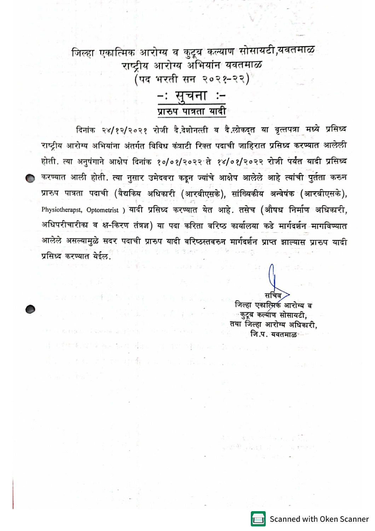जिल्हा एकात्मिक आरोग्य व कुटूब कल्याण सोसायटी,यवतमाळ राष्ट्रीय आरोग्य अभियांन यवतमाळ (पद भरती सन २०२१-२२)

## −ः सुचना∷∹ प्रारुप पात्रता यादी

दिनांक २४/१२/२०२१ रोजी दै.देशोनत्ती व दै.लोकद्त या वृत्तपत्रा मध्ये प्रसिध्द राष्ट्रीय आरोग्य अभियांना अंतर्गत विविध कंत्राटी रिक्त पदाची जाहिरात प्रसिध्द करण्यात आलेली होती. त्या अनुषंगाने आक्षेप दिनांक १०/०१/२०२२ ते १४/०१/२०२२ रोजी पर्यंत यादी प्रसिध्द करण्यात आली होती. त्या नुसार उमेदवरा कडून ज्यांचे आक्षेप आलेले आहे त्यांची पुर्तता करुन प्रारुप पात्रता पदाची (वैद्यकिय अधिकारी (आरवीएसके), सांख्यिकीय अन्वेषंक (आरवीएसके), Physiotherapst, Optometrist ) यादी प्रसिध्द करण्यात येत आहे. तसेच (औषध निर्माण अधिकारी, अधिपरीचारीका व क्ष-किरण तंत्रज्ञ) या पदा करिता वरिष्ठ कार्यालया कडे मार्गदर्शन<sup>्</sup>मागविण्यात आलेले असल्यामुळे सदर पदाची प्रारुप यादी वरिष्ठस्तवरुन मार्गदर्शन प्राप्त झाल्यास प्रारुप यादी प्रसिध्द करण्यात येईल.

그래도 과하면 소설했습니다.

जिल्हा एकात्मिक आरोग्य व ः कुटूब**ंकर्ल्याण**्सोसायटी. तया जिल्हा आरोग्य अधिकारी. जि.प. यवतमाळ∗

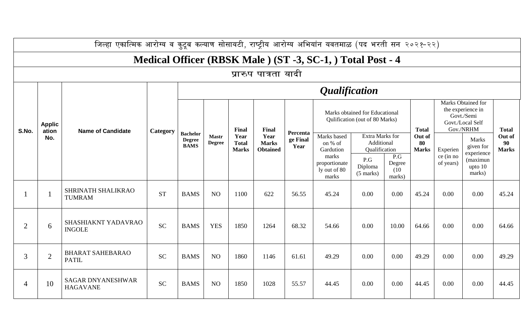|                | जिल्हा एकात्मिक आरोग्य व कुटूब कल्याण सोसायटी, राष्ट्रीय आरोग्य अभियांन यवतमाळ (पद भरती सन २०२१-२२) |                                             |           |                                                 |                               |                                      |                                                  |                              |                                                                                       |                                       |                                 |              |                                                                                        |                                               |                              |  |
|----------------|-----------------------------------------------------------------------------------------------------|---------------------------------------------|-----------|-------------------------------------------------|-------------------------------|--------------------------------------|--------------------------------------------------|------------------------------|---------------------------------------------------------------------------------------|---------------------------------------|---------------------------------|--------------|----------------------------------------------------------------------------------------|-----------------------------------------------|------------------------------|--|
|                | Medical Officer (RBSK Male) (ST -3, SC-1, ) Total Post - 4                                          |                                             |           |                                                 |                               |                                      |                                                  |                              |                                                                                       |                                       |                                 |              |                                                                                        |                                               |                              |  |
|                | प्रारुप पात्रता यादी                                                                                |                                             |           |                                                 |                               |                                      |                                                  |                              |                                                                                       |                                       |                                 |              |                                                                                        |                                               |                              |  |
|                | <b>Applic</b><br>ation                                                                              |                                             |           | <i><b>Qualification</b></i>                     |                               |                                      |                                                  |                              |                                                                                       |                                       |                                 |              |                                                                                        |                                               |                              |  |
| S.No.          |                                                                                                     | <b>Name of Candidate</b>                    | Category  | <b>Bachelor</b><br><b>Degree</b><br><b>BAMS</b> | <b>Mastr</b><br><b>Degree</b> | Final                                | Final<br>Year<br><b>Marks</b><br><b>Obtained</b> |                              | Marks obtained for Educational<br>Qulification (out of 80 Marks)                      |                                       |                                 | <b>Total</b> | Marks Obtained for<br>the experience in<br>Govt./Semi<br>Govt./Local Self<br>Gov./NRHM |                                               | <b>Total</b>                 |  |
|                | No.                                                                                                 |                                             |           |                                                 |                               | Year<br><b>Total</b><br><b>Marks</b> |                                                  | Percenta<br>ge Final<br>Year | Marks based<br>Extra Marks for<br>on % of<br>Additional<br>Qualification<br>Gardution |                                       | Out of<br>80<br><b>Marks</b>    |              | Experien                                                                               | <b>Marks</b><br>given for                     | Out of<br>90<br><b>Marks</b> |  |
|                |                                                                                                     |                                             |           |                                                 |                               |                                      |                                                  |                              | marks<br>proportionate<br>ly out of 80<br>marks                                       | P.G<br>Diploma<br>$(5 \text{ marks})$ | P.G<br>Degree<br>(10)<br>marks) |              | ce (in no<br>of years)                                                                 | experience<br>(maximun<br>upto $10$<br>marks) |                              |  |
|                | $\mathbf 1$                                                                                         | SHRINATH SHALIKRAO<br><b>TUMRAM</b>         | <b>ST</b> | <b>BAMS</b>                                     | N <sub>O</sub>                | 1100                                 | 622                                              | 56.55                        | 45.24                                                                                 | 0.00                                  | 0.00                            | 45.24        | 0.00                                                                                   | 0.00                                          | 45.24                        |  |
| $\overline{2}$ | 6                                                                                                   | SHASHIAKNT YADAVRAO<br><b>INGOLE</b>        | <b>SC</b> | <b>BAMS</b>                                     | <b>YES</b>                    | 1850                                 | 1264                                             | 68.32                        | 54.66                                                                                 | 0.00                                  | 10.00                           | 64.66        | 0.00                                                                                   | 0.00                                          | 64.66                        |  |
| $\overline{3}$ | $\overline{2}$                                                                                      | <b>BHARAT SAHEBARAO</b><br><b>PATIL</b>     | <b>SC</b> | <b>BAMS</b>                                     | N <sub>O</sub>                | 1860                                 | 1146                                             | 61.61                        | 49.29                                                                                 | 0.00                                  | 0.00                            | 49.29        | 0.00                                                                                   | 0.00                                          | 49.29                        |  |
| 4              | 10                                                                                                  | <b>SAGAR DNYANESHWAR</b><br><b>HAGAVANE</b> | <b>SC</b> | <b>BAMS</b>                                     | N <sub>O</sub>                | 1850                                 | 1028                                             | 55.57                        | 44.45                                                                                 | 0.00                                  | 0.00                            | 44.45        | 0.00                                                                                   | 0.00                                          | 44.45                        |  |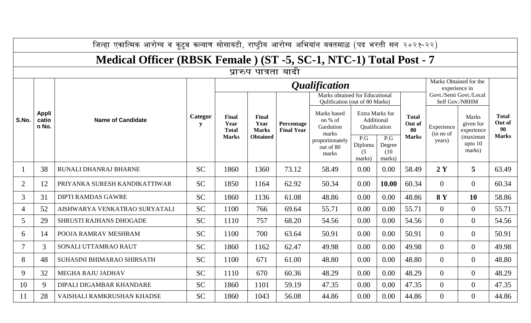|                | जिल्हा एकात्मिक आरोग्य व कुटूब कल्याण सोसायटी, राष्ट्रीय आरोग्य अभियांन यवतमाळ (पद भरती सन २०२१-२२) |                               |              |                                                      |                                                  |                                 |                                                                  |                                                       |                                 |                              |                                          |                                         |                              |  |
|----------------|-----------------------------------------------------------------------------------------------------|-------------------------------|--------------|------------------------------------------------------|--------------------------------------------------|---------------------------------|------------------------------------------------------------------|-------------------------------------------------------|---------------------------------|------------------------------|------------------------------------------|-----------------------------------------|------------------------------|--|
|                | Medical Officer (RBSK Female) (ST -5, SC-1, NTC-1) Total Post - 7                                   |                               |              |                                                      |                                                  |                                 |                                                                  |                                                       |                                 |                              |                                          |                                         |                              |  |
|                | प्रारुप पात्रता यादी                                                                                |                               |              |                                                      |                                                  |                                 |                                                                  |                                                       |                                 |                              |                                          |                                         |                              |  |
|                |                                                                                                     |                               |              |                                                      |                                                  |                                 | <i>Qualification</i>                                             |                                                       |                                 |                              |                                          | Marks Obtained for the<br>experience in |                              |  |
|                |                                                                                                     |                               |              |                                                      | Final<br>Year<br><b>Marks</b><br><b>Obtained</b> | Percentage<br><b>Final Year</b> | Marks obtained for Educational<br>Qulification (out of 80 Marks) |                                                       |                                 |                              | Govt./Semi Govt./Local<br>Self Gov./NRHM |                                         |                              |  |
| S.No.          | Appli<br>catio<br>n No.                                                                             | <b>Name of Candidate</b>      | Categor<br>y | <b>Final</b><br>Year<br><b>Total</b><br><b>Marks</b> |                                                  |                                 | Marks based<br>on % of<br>Gardution<br>marks                     | <b>Extra Marks for</b><br>Additional<br>Qualification |                                 | <b>Total</b><br>Out of<br>80 | Experience<br>(in no of                  | <b>Marks</b><br>given for<br>experience | <b>Total</b><br>Out of<br>90 |  |
|                |                                                                                                     |                               |              |                                                      |                                                  |                                 | proportionately<br>out of 80<br>marks                            | P.G<br>Diploma<br>(5)<br>marks)                       | P.G<br>Degree<br>(10)<br>marks) | <b>Marks</b>                 | years)                                   | (maximun<br>upto $10$<br>marks)         | <b>Marks</b>                 |  |
|                | 38                                                                                                  | RUNALI DHANRAJ BHARNE         | <b>SC</b>    | 1860                                                 | 1360                                             | 73.12                           | 58.49                                                            | 0.00                                                  | 0.00                            | 58.49                        | 2Y                                       | 5                                       | 63.49                        |  |
| $\overline{2}$ | 12                                                                                                  | PRIYANKA SURESH KANDIKATTIWAR | <b>SC</b>    | 1850                                                 | 1164                                             | 62.92                           | 50.34                                                            | 0.00                                                  | 10.00                           | 60.34                        | $\overline{0}$                           | $\overline{0}$                          | 60.34                        |  |
| 3              | 31                                                                                                  | <b>DIPTI RAMDAS GAWRE</b>     | <b>SC</b>    | 1860                                                 | 1136                                             | 61.08                           | 48.86                                                            | 0.00                                                  | 0.00                            | 48.86                        | <b>8Y</b>                                | 10                                      | 58.86                        |  |
| 4              | 52                                                                                                  | AISHWARYA VENKATRAO SURYATALI | <b>SC</b>    | 1100                                                 | 766                                              | 69.64                           | 55.71                                                            | 0.00                                                  | 0.00                            | 55.71                        | $\overline{0}$                           | $\overline{0}$                          | 55.71                        |  |
| 5              | 29                                                                                                  | SHRUSTI RAJHANS DHOGADE       | <b>SC</b>    | 1110                                                 | 757                                              | 68.20                           | 54.56                                                            | 0.00                                                  | 0.00                            | 54.56                        | $\overline{0}$                           | $\overline{0}$                          | 54.56                        |  |
| 6              | 14                                                                                                  | POOJA RAMRAV MESHRAM          | <b>SC</b>    | 1100                                                 | 700                                              | 63.64                           | 50.91                                                            | 0.00                                                  | 0.00                            | 50.91                        | $\overline{0}$                           | $\overline{0}$                          | 50.91                        |  |
|                | 3                                                                                                   | SONALI UTTAMRAO RAUT          | <b>SC</b>    | 1860                                                 | 1162                                             | 62.47                           | 49.98                                                            | 0.00                                                  | 0.00                            | 49.98                        | $\overline{0}$                           | $\overline{0}$                          | 49.98                        |  |
| 8              | 48                                                                                                  | SUHASINI BHIMARAO SHIRSATH    | <b>SC</b>    | 1100                                                 | 671                                              | 61.00                           | 48.80                                                            | 0.00                                                  | 0.00                            | 48.80                        | $\overline{0}$                           | $\overline{0}$                          | 48.80                        |  |
| 9              | 32                                                                                                  | MEGHA RAJU JADHAV             | <b>SC</b>    | 1110                                                 | 670                                              | 60.36                           | 48.29                                                            | 0.00                                                  | 0.00                            | 48.29                        | $\overline{0}$                           | $\overline{0}$                          | 48.29                        |  |
| 10             | 9                                                                                                   | DIPALI DIGAMBAR KHANDARE      | <b>SC</b>    | 1860                                                 | 1101                                             | 59.19                           | 47.35                                                            | 0.00                                                  | 0.00                            | 47.35                        | $\overline{0}$                           | $\overline{0}$                          | 47.35                        |  |
| 11             | 28                                                                                                  | VAISHALI RAMKRUSHAN KHADSE    | <b>SC</b>    | 1860                                                 | 1043                                             | 56.08                           | 44.86                                                            | 0.00                                                  | 0.00                            | 44.86                        | $\overline{0}$                           | $\overline{0}$                          | 44.86                        |  |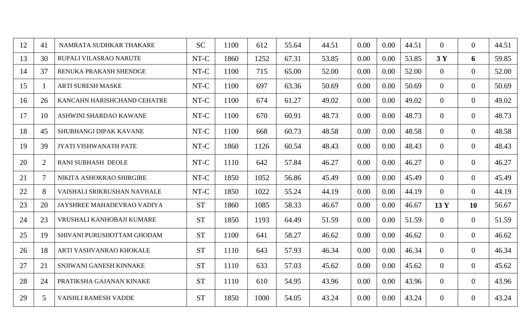| 12 | 41 | NAMRATA SUDHKAR THAKARE      | <b>SC</b> | 1100 | 612  | 55.64 | 44.51 | 0.00 | 0.00     | 44.51 | $\overline{0}$ | $\overline{0}$ | 44.51 |
|----|----|------------------------------|-----------|------|------|-------|-------|------|----------|-------|----------------|----------------|-------|
| 13 | 30 | RUPALI VILASRAO NARUTE       | NT-C      | 1860 | 1252 | 67.31 | 53.85 | 0.00 | 0.00     | 53.85 | 3Y             | 6              | 59.85 |
| 14 | 37 | RENUKA PRAKASH SHENDGE       | NT-C      | 1100 | 715  | 65.00 | 52.00 | 0.00 | 0.00     | 52.00 | $\overline{0}$ | $\overline{0}$ | 52.00 |
| 15 |    | <b>ARTI SURESH MASKE</b>     | NT-C      | 1100 | 697  | 63.36 | 50.69 | 0.00 | 0.00     | 50.69 | $\overline{0}$ | $\overline{0}$ | 50.69 |
| 16 | 26 | KANCAHN HARISHCHAND CEHATRE  | NT-C      | 1100 | 674  | 61.27 | 49.02 | 0.00 | 0.00     | 49.02 | $\overline{0}$ | $\overline{0}$ | 49.02 |
| 17 | 10 | ASHWINI SHARDAO KAWANE       | NT-C      | 1100 | 670  | 60.91 | 48.73 | 0.00 | 0.00     | 48.73 | $\overline{0}$ | $\overline{0}$ | 48.73 |
| 18 | 45 | SHUBHANGI DIPAK KAVANE       | NT-C      | 1100 | 668  | 60.73 | 48.58 | 0.00 | $0.00\,$ | 48.58 | $\overline{0}$ | $\overline{0}$ | 48.58 |
| 19 | 39 | <b>JYATI VISHWANATH PATE</b> | NT-C      | 1860 | 1126 | 60.54 | 48.43 | 0.00 | $0.00\,$ | 48.43 | $\overline{0}$ | $\overline{0}$ | 48.43 |
| 20 | 2  | <b>RANI SUBHASH DEOLE</b>    | NT-C      | 1110 | 642  | 57.84 | 46.27 | 0.00 | 0.00     | 46.27 | $\overline{0}$ | $\overline{0}$ | 46.27 |
| 21 | 7  | NIKITA ASHOKRAO SHIRGIRE     | NT-C      | 1850 | 1052 | 56.86 | 45.49 | 0.00 | 0.00     | 45.49 | $\overline{0}$ | $\overline{0}$ | 45.49 |
| 22 | 8  | VAISHALI SRIKRUSHAN NAVHALE  | NT-C      | 1850 | 1022 | 55.24 | 44.19 | 0.00 | 0.00     | 44.19 | $\overline{0}$ | $\overline{0}$ | 44.19 |
| 23 | 20 | JAYSHREE MAHADEVRAO VADIYA   | <b>ST</b> | 1860 | 1085 | 58.33 | 46.67 | 0.00 | 0.00     | 46.67 | 13 Y           | 10             | 56.67 |
| 24 | 23 | VRUSHALI KANHOBAJI KUMARE    | <b>ST</b> | 1850 | 1193 | 64.49 | 51.59 | 0.00 | 0.00     | 51.59 | $\overline{0}$ | $\overline{0}$ | 51.59 |
| 25 | 19 | SHIVANI PURUSHOTTAM GHODAM   | <b>ST</b> | 1100 | 641  | 58.27 | 46.62 | 0.00 | 0.00     | 46.62 | $\overline{0}$ | $\overline{0}$ | 46.62 |
| 26 | 18 | ARTI YASHVANRAO KHOKALE      | <b>ST</b> | 1110 | 643  | 57.93 | 46.34 | 0.00 | 0.00     | 46.34 | $\overline{0}$ | $\overline{0}$ | 46.34 |
| 27 | 21 | SNJIWANI GANESH KINNAKE      | <b>ST</b> | 1110 | 633  | 57.03 | 45.62 | 0.00 | 0.00     | 45.62 | $\overline{0}$ | $\overline{0}$ | 45.62 |
| 28 | 24 | PRATIKSHA GAJANAN KINAKE     | <b>ST</b> | 1110 | 610  | 54.95 | 43.96 | 0.00 | 0.00     | 43.96 | $\overline{0}$ | $\overline{0}$ | 43.96 |
| 29 | 5  | VAISHLI RAMESH VADDE         | <b>ST</b> | 1850 | 1000 | 54.05 | 43.24 | 0.00 | 0.00     | 43.24 | $\overline{0}$ | $\overline{0}$ | 43.24 |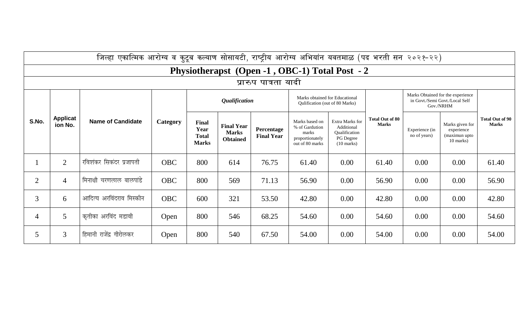|                | जिल्हा एकात्मिक आरोग्य व कुटूब कल्याण सोसायटी, राष्ट्रीय आरोग्य अभियांन यवतमाळ (पद भरती सन २०२१-२२) |                          |            |                                                      |                                                      |                                 |                                                                                 |                                                                                     |                                        |                                                                                  |                                                             |                                        |  |  |  |
|----------------|-----------------------------------------------------------------------------------------------------|--------------------------|------------|------------------------------------------------------|------------------------------------------------------|---------------------------------|---------------------------------------------------------------------------------|-------------------------------------------------------------------------------------|----------------------------------------|----------------------------------------------------------------------------------|-------------------------------------------------------------|----------------------------------------|--|--|--|
|                | Physiotherapst (Open -1, OBC-1) Total Post - 2                                                      |                          |            |                                                      |                                                      |                                 |                                                                                 |                                                                                     |                                        |                                                                                  |                                                             |                                        |  |  |  |
|                | प्रारुप पात्रता यादी                                                                                |                          |            |                                                      |                                                      |                                 |                                                                                 |                                                                                     |                                        |                                                                                  |                                                             |                                        |  |  |  |
|                | <b>Applicat</b><br>ion No.                                                                          |                          |            |                                                      | <b>Qualification</b>                                 |                                 | Marks obtained for Educational<br>Qulification (out of 80 Marks)                |                                                                                     |                                        | Marks Obtained for the experience<br>in Govt./Semi Govt./Local Self<br>Gov./NRHM |                                                             |                                        |  |  |  |
| S.No.          |                                                                                                     | <b>Name of Candidate</b> | Category   | <b>Final</b><br>Year<br><b>Total</b><br><b>Marks</b> | <b>Final Year</b><br><b>Marks</b><br><b>Obtained</b> | Percentage<br><b>Final Year</b> | Marks based on<br>% of Gardution<br>marks<br>proportionately<br>out of 80 marks | Extra Marks for<br>Additional<br>Qualification<br>PG Degree<br>$(10 \text{ marks})$ | <b>Total Out of 80</b><br><b>Marks</b> | Experience (in<br>no of years)                                                   | Marks given for<br>experience<br>(maximun upto<br>10 marks) | <b>Total Out of 90</b><br><b>Marks</b> |  |  |  |
|                | $\overline{2}$                                                                                      | रविशंकर सिकंदर प्रजापती  | <b>OBC</b> | 800                                                  | 614                                                  | 76.75                           | 61.40                                                                           | 0.00                                                                                | 61.40                                  | 0.00                                                                             | 0.00                                                        | 61.40                                  |  |  |  |
| $\overline{2}$ | $\overline{4}$                                                                                      | मिनाक्षी चरणलाल बालपांडे | <b>OBC</b> | 800                                                  | 569                                                  | 71.13                           | 56.90                                                                           | 0.00                                                                                | 56.90                                  | 0.00                                                                             | 0.00                                                        | 56.90                                  |  |  |  |
| 3              | 6                                                                                                   | आदित्य अरविंदराव मिस्कीन | <b>OBC</b> | 600                                                  | 321                                                  | 53.50                           | 42.80                                                                           | 0.00                                                                                | 42.80                                  | 0.00                                                                             | 0.00                                                        | 42.80                                  |  |  |  |
| 4              | 5 <sup>5</sup>                                                                                      | कृतीका अरविंद मडावी      | Open       | 800                                                  | 546                                                  | 68.25                           | 54.60                                                                           | 0.00                                                                                | 54.60                                  | 0.00                                                                             | 0.00                                                        | 54.60                                  |  |  |  |
| 5              | $\overline{3}$                                                                                      | हिमानी राजेंद्र गीरोलकर  | Open       | 800                                                  | 540                                                  | 67.50                           | 54.00                                                                           | 0.00                                                                                | 54.00                                  | 0.00                                                                             | 0.00                                                        | 54.00                                  |  |  |  |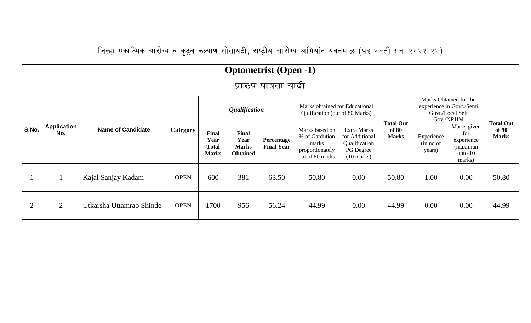|                | जिल्हा एकात्मिक आरोग्य व कुटूब कल्याण सोसायटी, राष्ट्रीय आरोग्य अभियांन यवतमाळ (पद भरती सन २०२१-२२) |                          |             |                                               |                                                  |                                 |                                                                                 |                                                                                            |                       |                                                                                     |                                                                     |                       |  |  |
|----------------|-----------------------------------------------------------------------------------------------------|--------------------------|-------------|-----------------------------------------------|--------------------------------------------------|---------------------------------|---------------------------------------------------------------------------------|--------------------------------------------------------------------------------------------|-----------------------|-------------------------------------------------------------------------------------|---------------------------------------------------------------------|-----------------------|--|--|
|                | <b>Optometrist</b> (Open -1)                                                                        |                          |             |                                               |                                                  |                                 |                                                                                 |                                                                                            |                       |                                                                                     |                                                                     |                       |  |  |
|                | प्रारुप पात्रता यादी                                                                                |                          |             |                                               |                                                  |                                 |                                                                                 |                                                                                            |                       |                                                                                     |                                                                     |                       |  |  |
| S.No.          |                                                                                                     |                          |             |                                               | <i><b>Qualification</b></i>                      |                                 | Marks obtained for Educational<br>Qulification (out of 80 Marks)                |                                                                                            | <b>Total Out</b>      | Marks Obtained for the<br>experience in Govt./Semi<br>Govt./Local Self<br>Gov./NRHM |                                                                     | <b>Total Out</b>      |  |  |
|                | <b>Application</b><br>No.                                                                           | <b>Name of Candidate</b> | Category    | Final<br>Year<br><b>Total</b><br><b>Marks</b> | Final<br>Year<br><b>Marks</b><br><b>Obtained</b> | Percentage<br><b>Final Year</b> | Marks based on<br>% of Gardution<br>marks<br>proportionately<br>out of 80 marks | <b>Extra Marks</b><br>for Additional<br>Qualification<br>PG Degree<br>$(10 \text{ marks})$ | of 80<br><b>Marks</b> | Experience<br>(in no of<br>years)                                                   | Marks given<br>for<br>experience<br>(maximun<br>upto $10$<br>marks) | of 90<br><b>Marks</b> |  |  |
|                |                                                                                                     | Kajal Sanjay Kadam       | <b>OPEN</b> | 600                                           | 381                                              | 63.50                           | 50.80                                                                           | 0.00                                                                                       | 50.80                 | 1.00                                                                                | 0.00                                                                | 50.80                 |  |  |
| $\overline{2}$ | 2                                                                                                   | Utkarsha Uttamrao Shinde | <b>OPEN</b> | 1700                                          | 956                                              | 56.24                           | 44.99                                                                           | 0.00                                                                                       | 44.99                 | 0.00                                                                                | 0.00                                                                | 44.99                 |  |  |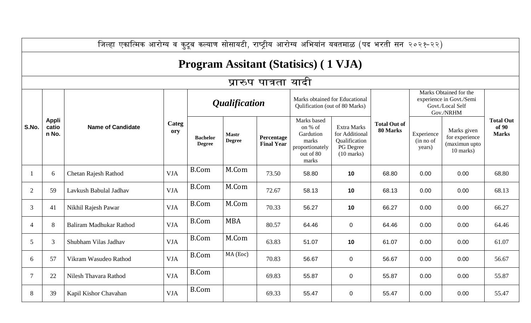|                | जिल्हा एकात्मिक आरोग्य व कुटूब कल्याण सोसायटी, राष्ट्रीय आरोग्य अभियांन यवतमाळ (पद भरती सन २०२१-२२) |                             |              |                                  |                               |                                 |                                                                                       |                                                                                     |                                 |                                                                                     |                                                             |                                           |  |  |
|----------------|-----------------------------------------------------------------------------------------------------|-----------------------------|--------------|----------------------------------|-------------------------------|---------------------------------|---------------------------------------------------------------------------------------|-------------------------------------------------------------------------------------|---------------------------------|-------------------------------------------------------------------------------------|-------------------------------------------------------------|-------------------------------------------|--|--|
|                | <b>Program Assitant (Statisics) (1 VJA)</b>                                                         |                             |              |                                  |                               |                                 |                                                                                       |                                                                                     |                                 |                                                                                     |                                                             |                                           |  |  |
|                | प्रारुप पात्रता यादी                                                                                |                             |              |                                  |                               |                                 |                                                                                       |                                                                                     |                                 |                                                                                     |                                                             |                                           |  |  |
|                |                                                                                                     | <b>Name of Candidate</b>    |              | <i><b>Qualification</b></i>      |                               |                                 | Marks obtained for Educational<br>Qulification (out of 80 Marks)                      |                                                                                     |                                 | Marks Obtained for the<br>experience in Govt./Semi<br>Govt./Local Self<br>Gov./NRHM |                                                             |                                           |  |  |
| S.No.          | <b>Appli</b><br>catio<br>n No.                                                                      |                             | Categ<br>ory | <b>Bachelor</b><br><b>Degree</b> | <b>Mastr</b><br><b>Degree</b> | Percentage<br><b>Final Year</b> | Marks based<br>on % of<br>Gardution<br>marks<br>proportionately<br>out of 80<br>marks | Extra Marks<br>for Additional<br>Qualification<br>PG Degree<br>$(10 \text{ marks})$ | <b>Total Out of</b><br>80 Marks | Experience<br>(in no of<br>years)                                                   | Marks given<br>for experience<br>(maximun upto<br>10 marks) | <b>Total Out</b><br>of 90<br><b>Marks</b> |  |  |
|                | 6                                                                                                   | <b>Chetan Rajesh Rathod</b> | <b>VJA</b>   | <b>B.Com</b>                     | M.Com                         | 73.50                           | 58.80                                                                                 | 10                                                                                  | 68.80                           | 0.00                                                                                | 0.00                                                        | 68.80                                     |  |  |
| $\overline{2}$ | 59                                                                                                  | Lavkush Babulal Jadhav      | <b>VJA</b>   | <b>B.Com</b>                     | M.Com                         | 72.67                           | 58.13                                                                                 | 10                                                                                  | 68.13                           | 0.00                                                                                | 0.00                                                        | 68.13                                     |  |  |
| 3              | 41                                                                                                  | Nikhil Rajesh Pawar         | <b>VJA</b>   | <b>B.Com</b>                     | M.Com                         | 70.33                           | 56.27                                                                                 | 10                                                                                  | 66.27                           | 0.00                                                                                | 0.00                                                        | 66.27                                     |  |  |
| $\overline{4}$ | 8                                                                                                   | Baliram Madhukar Rathod     | <b>VJA</b>   | <b>B.Com</b>                     | <b>MBA</b>                    | 80.57                           | 64.46                                                                                 | $\mathbf 0$                                                                         | 64.46                           | 0.00                                                                                | 0.00                                                        | 64.46                                     |  |  |
| 5              | 3                                                                                                   | Shubham Vilas Jadhav        | <b>VJA</b>   | <b>B.Com</b>                     | M.Com                         | 63.83                           | 51.07                                                                                 | 10                                                                                  | 61.07                           | 0.00                                                                                | 0.00                                                        | 61.07                                     |  |  |
| 6              | 57                                                                                                  | Vikram Wasudeo Rathod       | <b>VJA</b>   | <b>B.Com</b>                     | MA (Eoc)                      | 70.83                           | 56.67                                                                                 | $\pmb{0}$                                                                           | 56.67                           | 0.00                                                                                | 0.00                                                        | 56.67                                     |  |  |
| $\overline{7}$ | 22                                                                                                  | Nilesh Thavara Rathod       | <b>VJA</b>   | <b>B.Com</b>                     |                               | 69.83                           | 55.87                                                                                 | $\pmb{0}$                                                                           | 55.87                           | 0.00                                                                                | 0.00                                                        | 55.87                                     |  |  |
| 8              | 39                                                                                                  | Kapil Kishor Chavahan       | <b>VJA</b>   | <b>B.Com</b>                     |                               | 69.33                           | 55.47                                                                                 | $\mathbf 0$                                                                         | 55.47                           | 0.00                                                                                | 0.00                                                        | 55.47                                     |  |  |